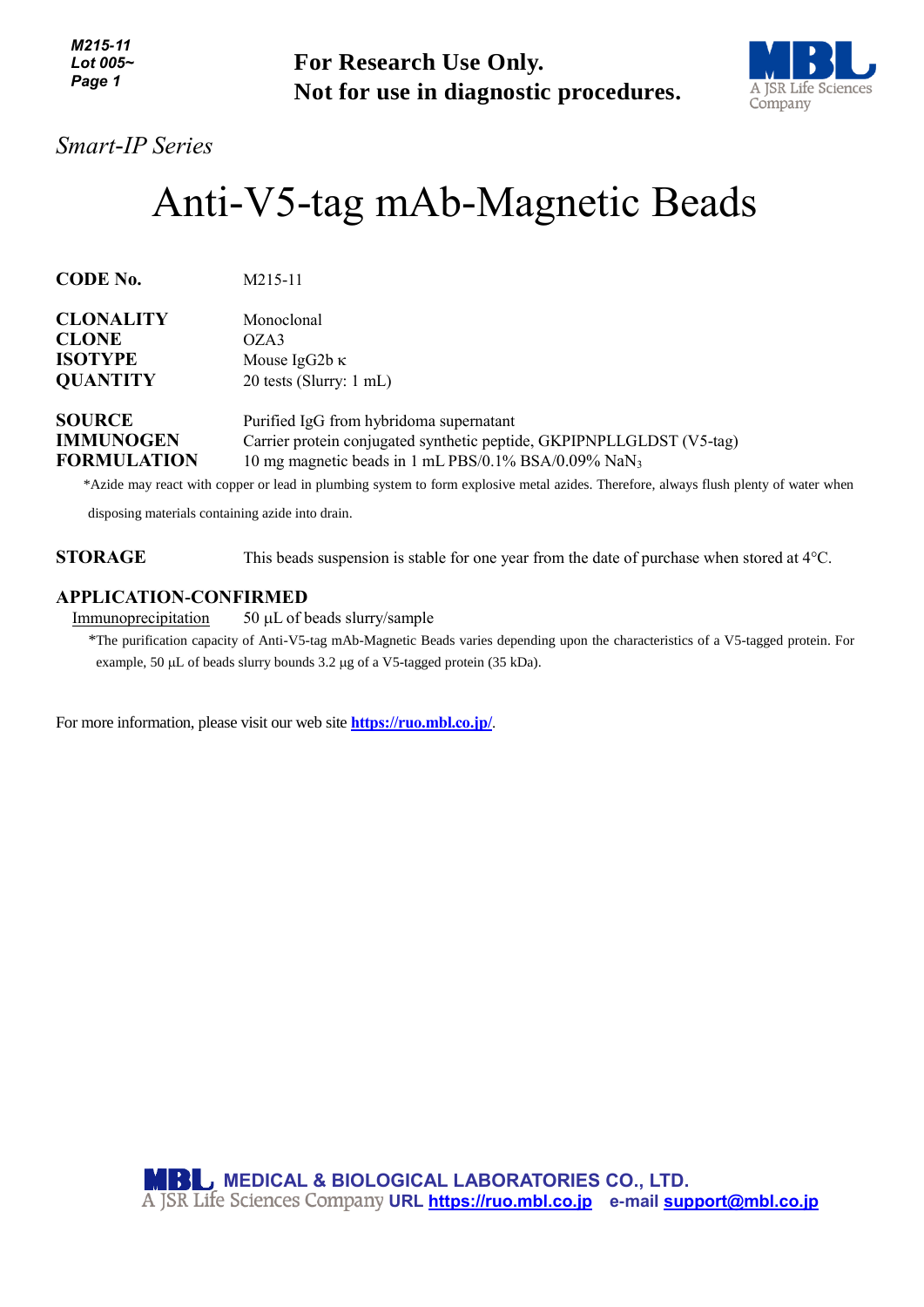| M215-11        |
|----------------|
| Lot 005 $\sim$ |
| Page 1         |

**For Research Use Only. Not for use in diagnostic procedures.**



## *Smart-IP Series*

# Anti-V5-tag mAb-Magnetic Beads

| <b>CODE No.</b>    | M215-11                                                               |
|--------------------|-----------------------------------------------------------------------|
| <b>CLONALITY</b>   | Monoclonal                                                            |
| <b>CLONE</b>       | OZA3                                                                  |
| <b>ISOTYPE</b>     | Mouse IgG2b $\kappa$                                                  |
| <b>QUANTITY</b>    | 20 tests (Slurry: 1 mL)                                               |
| <b>SOURCE</b>      | Purified IgG from hybridoma supernatant                               |
| <b>IMMUNOGEN</b>   | Carrier protein conjugated synthetic peptide, GKPIPNPLLGLDST (V5-tag) |
| <b>FORMULATION</b> | 10 mg magnetic beads in 1 mL PBS/0.1% BSA/0.09% $\text{Na}\text{N}_3$ |

\*Azide may react with copper or lead in plumbing system to form explosive metal azides. Therefore, always flush plenty of water when

disposing materials containing azide into drain.

**STORAGE** This beads suspension is stable for one year from the date of purchase when stored at 4°C.

#### **APPLICATION-CONFIRMED**

 $Immunoprecipitation$  50  $\mu$ L of beads slurry/sample</u>

\*The purification capacity of Anti-V5-tag mAb-Magnetic Beads varies depending upon the characteristics of a V5-tagged protein. For example, 50  $\mu$ L of beads slurry bounds 3.2  $\mu$ g of a V5-tagged protein (35 kDa).

For more information, please visit our web site **<https://ruo.mbl.co.jp/>**.